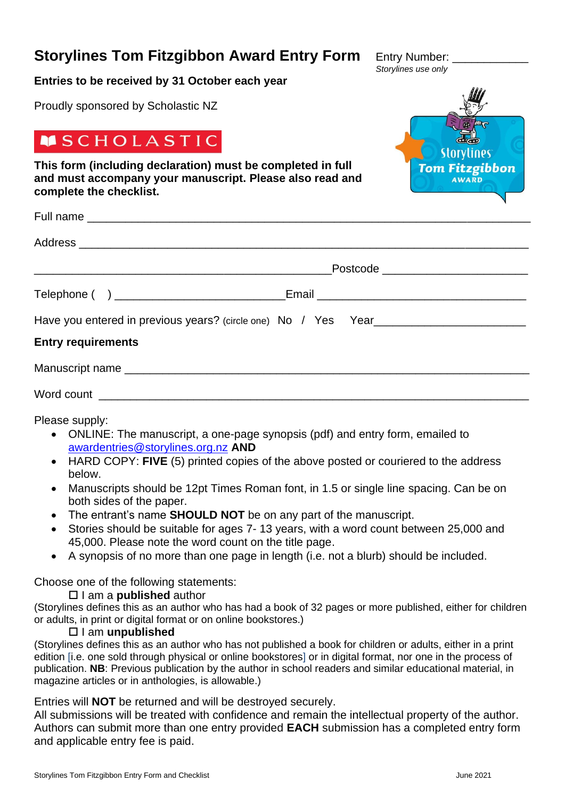# **Storylines Tom Fitzgibbon Award Entry Form** Entry Number:

# **Entries to be received by 31 October each year**

Proudly sponsored by Scholastic NZ

# **MSCHOLASTIC**

**This form (including declaration) must be completed in full and must accompany your manuscript. Please also read and complete the checklist.**

|                                                                                   | Postcode _________________________ |
|-----------------------------------------------------------------------------------|------------------------------------|
| Telephone ( ) ________________________________Email ____________________________  |                                    |
| Have you entered in previous years? (circle one) No / Yes Year___________________ |                                    |
| <b>Entry requirements</b>                                                         |                                    |
|                                                                                   |                                    |
|                                                                                   |                                    |

Please supply:

- ONLINE: The manuscript, a one-page synopsis (pdf) and entry form, emailed to [awardentries@storylines.org.nz](mailto:awardentries@storylines.org.nz) **AND**
- HARD COPY: **FIVE** (5) printed copies of the above posted or couriered to the address below.
- Manuscripts should be 12pt Times Roman font, in 1.5 or single line spacing. Can be on both sides of the paper.
- The entrant's name **SHOULD NOT** be on any part of the manuscript.
- Stories should be suitable for ages 7- 13 years, with a word count between 25,000 and 45,000. Please note the word count on the title page.
- A synopsis of no more than one page in length (i.e. not a blurb) should be included.

## Choose one of the following statements:

I am a **published** author

(Storylines defines this as an author who has had a book of 32 pages or more published, either for children or adults, in print or digital format or on online bookstores.)

## I am **unpublished**

(Storylines defines this as an author who has not published a book for children or adults, either in a print edition [i.e. one sold through physical or online bookstores] or in digital format, nor one in the process of publication. **NB**: Previous publication by the author in school readers and similar educational material, in magazine articles or in anthologies, is allowable.)

## Entries will **NOT** be returned and will be destroyed securely.

All submissions will be treated with confidence and remain the intellectual property of the author. Authors can submit more than one entry provided **EACH** submission has a completed entry form and applicable entry fee is paid.



*Storylines use only*

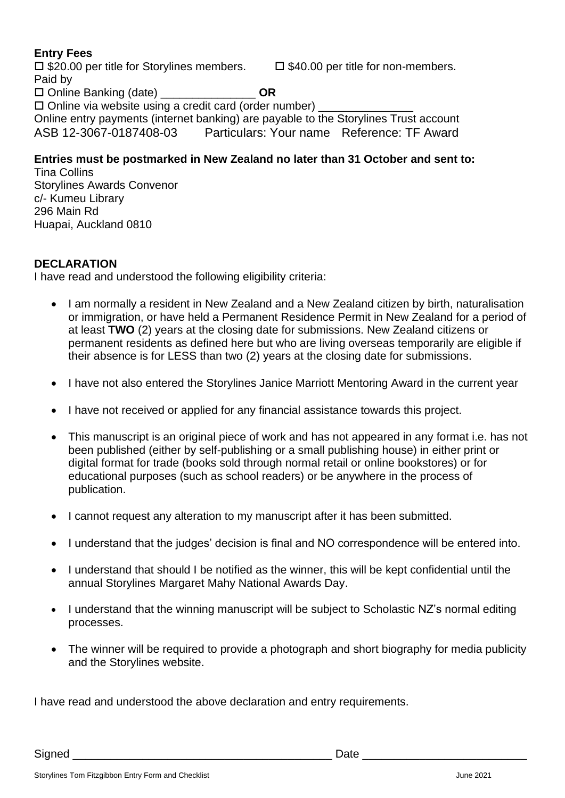# **Entry Fees**

 $\Box$  \$20.00 per title for Storylines members.  $\Box$  \$40.00 per title for non-members. Paid by Online Banking (date) \_\_\_\_\_\_\_\_\_\_\_\_\_\_\_ **OR**  $\square$  Online via website using a credit card (order number)  $\square$ Online entry payments (internet banking) are payable to the Storylines Trust account ASB 12-3067-0187408-03 Particulars: Your name Reference: TF Award

# **Entries must be postmarked in New Zealand no later than 31 October and sent to:**

Tina Collins Storylines Awards Convenor c/- Kumeu Library 296 Main Rd Huapai, Auckland 0810

## **DECLARATION**

I have read and understood the following eligibility criteria:

- I am normally a resident in New Zealand and a New Zealand citizen by birth, naturalisation or immigration, or have held a Permanent Residence Permit in New Zealand for a period of at least **TWO** (2) years at the closing date for submissions. New Zealand citizens or permanent residents as defined here but who are living overseas temporarily are eligible if their absence is for LESS than two (2) years at the closing date for submissions.
- I have not also entered the Storylines Janice Marriott Mentoring Award in the current year
- I have not received or applied for any financial assistance towards this project.
- This manuscript is an original piece of work and has not appeared in any format i.e. has not been published (either by self-publishing or a small publishing house) in either print or digital format for trade (books sold through normal retail or online bookstores) or for educational purposes (such as school readers) or be anywhere in the process of publication.
- I cannot request any alteration to my manuscript after it has been submitted.
- I understand that the judges' decision is final and NO correspondence will be entered into.
- I understand that should I be notified as the winner, this will be kept confidential until the annual Storylines Margaret Mahy National Awards Day.
- I understand that the winning manuscript will be subject to Scholastic NZ's normal editing processes.
- The winner will be required to provide a photograph and short biography for media publicity and the Storylines website.

I have read and understood the above declaration and entry requirements.

Signed \_\_\_\_\_\_\_\_\_\_\_\_\_\_\_\_\_\_\_\_\_\_\_\_\_\_\_\_\_\_\_\_\_\_\_\_\_\_\_\_\_ Date \_\_\_\_\_\_\_\_\_\_\_\_\_\_\_\_\_\_\_\_\_\_\_\_\_\_